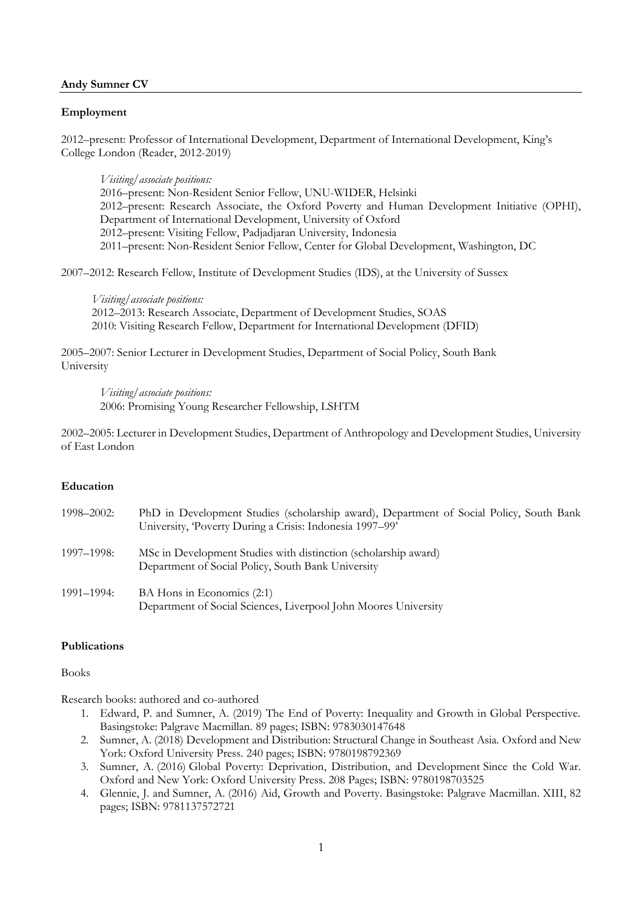## **Andy Sumner CV**

# **Employment**

2012–present: Professor of International Development, Department of International Development, King's College London (Reader, 2012-2019)

*Visiting/associate positions:*

–present: Non-Resident Senior Fellow, UNU-WIDER, Helsinki –present: Research Associate, the Oxford Poverty and Human Development Initiative (OPHI), Department of International Development, University of Oxford –present: Visiting Fellow, Padjadjaran University, Indonesia –present: Non-Resident Senior Fellow, Center for Global Development, Washington, DC

2007–2012: Research Fellow, Institute of Development Studies (IDS), at the University of Sussex

*Visiting/associate positions:* 2012–2013: Research Associate, Department of Development Studies, SOAS 2010: Visiting Research Fellow, Department for International Development (DFID)

2005–2007: Senior Lecturer in Development Studies, Department of Social Policy, South Bank University

*Visiting/associate positions:* 2006: Promising Young Researcher Fellowship, LSHTM

2002–2005: Lecturer in Development Studies, Department of Anthropology and Development Studies, University of East London

#### **Education**

| 1998–2002: | PhD in Development Studies (scholarship award), Department of Social Policy, South Bank<br>University, Poverty During a Crisis: Indonesia 1997–99' |
|------------|----------------------------------------------------------------------------------------------------------------------------------------------------|
| 1997–1998: | MSc in Development Studies with distinction (scholarship award)<br>Department of Social Policy, South Bank University                              |
| 1991–1994: | BA Hons in Economics (2:1)<br>Department of Social Sciences, Liverpool John Moores University                                                      |

# **Publications**

Books

Research books: authored and co-authored

- 1. Edward, P. and Sumner, A. (2019) The End of Poverty: Inequality and Growth in Global Perspective. Basingstoke: Palgrave Macmillan. 89 pages; ISBN: 9783030147648
- 2. Sumner, A. (2018) [Development and Distribution: Structural Change in Southeast Asia.](https://global.oup.com/academic/product/development-and-distribution-9780198792369?cc=gb&lang=en&) Oxford and New York: Oxford University Press. 240 pages; ISBN: 9780198792369
- 3. Sumner, A. (2016) [Global Poverty: Deprivation, Distribution, and Development](https://emea01.safelinks.protection.outlook.com/?url=https%3A%2F%2Fglobal.oup.com%2Facademic%2Fproduct%2Fglobal-poverty-9780198703525%3Fcc%3Dgb%26lang%3Den%26&data=01%7C01%7Candrew.sumner%40kcl.ac.uk%7Cc671dcb0e96e4a57d51a08d664449926%7C8370cf1416f34c16b83c724071654356%7C0&sdata=axT%2FNk1be91Vda6l3xXQB1LTinU4eXbD9JiDvnxeEZI%3D&reserved=0) Since the Cold War. Oxford and New York: Oxford University Press. 208 Pages; ISBN: 9780198703525
- 4. Glennie, J. and Sumner, A. (2016) [Aid, Growth and Poverty.](https://www.palgrave.com/gb/book/9781137572714) Basingstoke: Palgrave Macmillan. XIII, 82 pages; ISBN: 9781137572721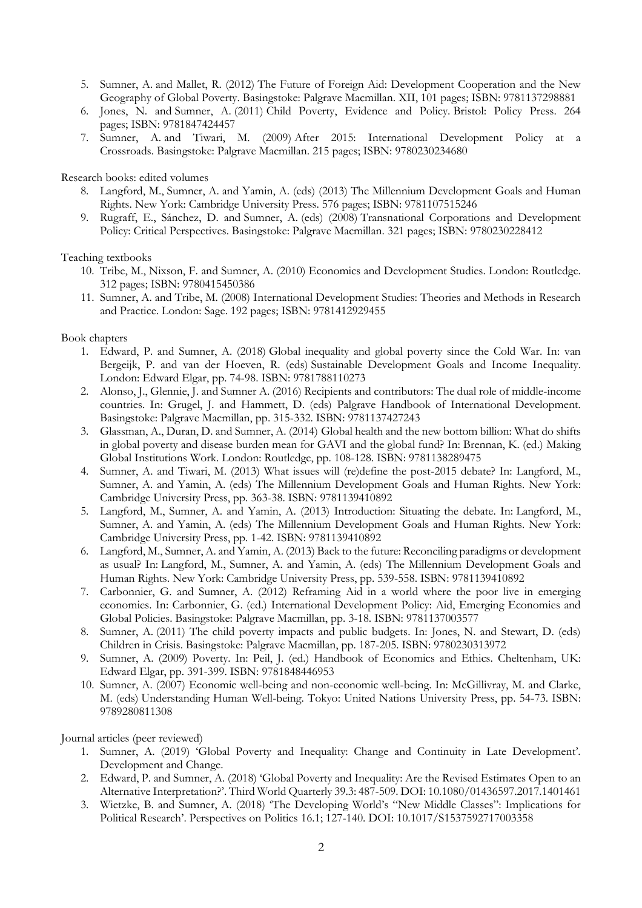- 5. Sumner, A. and Mallet, R. (2012) [The Future of Foreign Aid: Development Cooperation and the New](https://emea01.safelinks.protection.outlook.com/?url=http%3A%2F%2Fwww.palgrave.com%2Fus%2Fbook%2F9781137298874&data=01%7C01%7Candrew.sumner%40kcl.ac.uk%7Cc671dcb0e96e4a57d51a08d664449926%7C8370cf1416f34c16b83c724071654356%7C0&sdata=91%2BBBvwJTReZmW8CgeUXnIpvNaRzzsxvFrhMU6x%2BrN0%3D&reserved=0)  [Geography of Global Poverty.](https://emea01.safelinks.protection.outlook.com/?url=http%3A%2F%2Fwww.palgrave.com%2Fus%2Fbook%2F9781137298874&data=01%7C01%7Candrew.sumner%40kcl.ac.uk%7Cc671dcb0e96e4a57d51a08d664449926%7C8370cf1416f34c16b83c724071654356%7C0&sdata=91%2BBBvwJTReZmW8CgeUXnIpvNaRzzsxvFrhMU6x%2BrN0%3D&reserved=0) Basingstoke: Palgrave Macmillan. XII, 101 pages; ISBN: 9781137298881
- 6. Jones, N. and Sumner, A. (2011) [Child Poverty, Evidence and Policy.](https://emea01.safelinks.protection.outlook.com/?url=http%3A%2F%2Fpolicypress.co.uk%2Fchild-poverty-evidence-and-policy&data=01%7C01%7Candrew.sumner%40kcl.ac.uk%7Cc671dcb0e96e4a57d51a08d664449926%7C8370cf1416f34c16b83c724071654356%7C0&sdata=LHzPn482IqF1HOJjFNYePWOT%2Bv2eEzgx%2BaiOoPaNWN0%3D&reserved=0) Bristol: Policy Press. 264 pages; ISBN: 9781847424457
- 7. Sumner, A. and Tiwari, M. (2009) [After 2015: International Development Policy at a](https://emea01.safelinks.protection.outlook.com/?url=http%3A%2F%2Fwww.palgrave.com%2Fus%2Fbook%2F9781403987723&data=01%7C01%7Candrew.sumner%40kcl.ac.uk%7Cc671dcb0e96e4a57d51a08d664449926%7C8370cf1416f34c16b83c724071654356%7C0&sdata=eXuvsFy1vUATBMXgpaDBcs%2BxGDiE8zKFLZ91fdfDfb8%3D&reserved=0)  [Crossroads.](https://emea01.safelinks.protection.outlook.com/?url=http%3A%2F%2Fwww.palgrave.com%2Fus%2Fbook%2F9781403987723&data=01%7C01%7Candrew.sumner%40kcl.ac.uk%7Cc671dcb0e96e4a57d51a08d664449926%7C8370cf1416f34c16b83c724071654356%7C0&sdata=eXuvsFy1vUATBMXgpaDBcs%2BxGDiE8zKFLZ91fdfDfb8%3D&reserved=0) Basingstoke: Palgrave Macmillan. 215 pages; ISBN: 9780230234680

Research books: edited volumes

- 8. Langford, M., Sumner, A. and Yamin, A. (eds) (2013) [The Millennium Development Goals and Human](https://emea01.safelinks.protection.outlook.com/?url=http%3A%2F%2Fwww.cambridge.org%2Fgb%2Facademic%2Fsubjects%2Flaw%2Fhuman-rights%2Fmillennium-development-goals-and-human-rights-past-present-and-future&data=01%7C01%7Candrew.sumner%40kcl.ac.uk%7Cc671dcb0e96e4a57d51a08d664449926%7C8370cf1416f34c16b83c724071654356%7C0&sdata=ohd2FMPU%2F5R0VuvyKuotZFubBNpoNrvwa3AQXl%2FkeQc%3D&reserved=0)  [Rights.](https://emea01.safelinks.protection.outlook.com/?url=http%3A%2F%2Fwww.cambridge.org%2Fgb%2Facademic%2Fsubjects%2Flaw%2Fhuman-rights%2Fmillennium-development-goals-and-human-rights-past-present-and-future&data=01%7C01%7Candrew.sumner%40kcl.ac.uk%7Cc671dcb0e96e4a57d51a08d664449926%7C8370cf1416f34c16b83c724071654356%7C0&sdata=ohd2FMPU%2F5R0VuvyKuotZFubBNpoNrvwa3AQXl%2FkeQc%3D&reserved=0) New York: Cambridge University Press. 576 pages; ISBN: 9781107515246
- 9. Rugraff, E., Sánchez, D. and Sumner, A. (eds) (2008) [Transnational Corporations and Development](https://emea01.safelinks.protection.outlook.com/?url=https%3A%2F%2Fbooks.google.co.uk%2Fbooks%2Fabout%2FTransnational_Corporations_and_Developme.html%3Fid%3D6o1_DAAAQBAJ%26source%3Dkp_cover%26redir_esc%3Dy&data=01%7C01%7Candrew.sumner%40kcl.ac.uk%7Cc671dcb0e96e4a57d51a08d664449926%7C8370cf1416f34c16b83c724071654356%7C0&sdata=3mNjaOHN7%2FkhLs7j3E%2Fwrul00Fg3suC0yM9m%2BF%2F%2BMV0%3D&reserved=0)  [Policy: Critical Perspectives.](https://emea01.safelinks.protection.outlook.com/?url=https%3A%2F%2Fbooks.google.co.uk%2Fbooks%2Fabout%2FTransnational_Corporations_and_Developme.html%3Fid%3D6o1_DAAAQBAJ%26source%3Dkp_cover%26redir_esc%3Dy&data=01%7C01%7Candrew.sumner%40kcl.ac.uk%7Cc671dcb0e96e4a57d51a08d664449926%7C8370cf1416f34c16b83c724071654356%7C0&sdata=3mNjaOHN7%2FkhLs7j3E%2Fwrul00Fg3suC0yM9m%2BF%2F%2BMV0%3D&reserved=0) Basingstoke: Palgrave Macmillan. 321 pages; ISBN: 9780230228412

Teaching textbooks

- 10. Tribe, M., Nixson, F. and Sumner, A. (2010) [Economics and Development Studies.](https://emea01.safelinks.protection.outlook.com/?url=https%3A%2F%2Fwww.routledge.com%2FEconomics-and-Development-Studies%2FTribe-Nixson-Sumner%2Fp%2Fbook%2F9780415450386&data=01%7C01%7Candrew.sumner%40kcl.ac.uk%7Cc671dcb0e96e4a57d51a08d664449926%7C8370cf1416f34c16b83c724071654356%7C0&sdata=D9eDf6y69XBmCf5VV%2BnMlfBS4leS36Cw6FwnpFBS8JQ%3D&reserved=0) London: Routledge. 312 pages; ISBN: 9780415450386
- 11. Sumner, A. and Tribe, M. (2008) [International Development Studies: Theories and Methods in Research](https://emea01.safelinks.protection.outlook.com/?url=https%3A%2F%2Fuk.sagepub.com%2Fen-gb%2Feur%2Finternational-development-studies%2Fbook229881&data=01%7C01%7Candrew.sumner%40kcl.ac.uk%7Cc671dcb0e96e4a57d51a08d664449926%7C8370cf1416f34c16b83c724071654356%7C0&sdata=fNDTMMPryb7uL2DLVpzRa7Ls%2Fh2A7PWa%2B4ibaGXhuLI%3D&reserved=0)  [and Practice.](https://emea01.safelinks.protection.outlook.com/?url=https%3A%2F%2Fuk.sagepub.com%2Fen-gb%2Feur%2Finternational-development-studies%2Fbook229881&data=01%7C01%7Candrew.sumner%40kcl.ac.uk%7Cc671dcb0e96e4a57d51a08d664449926%7C8370cf1416f34c16b83c724071654356%7C0&sdata=fNDTMMPryb7uL2DLVpzRa7Ls%2Fh2A7PWa%2B4ibaGXhuLI%3D&reserved=0) London: Sage. 192 pages; ISBN: 9781412929455

## Book chapters

- 1. Edward, P. and Sumner, A. (2018) Global inequality and global poverty since the Cold War. In: van Bergeijk, P. and van der Hoeven, R. (eds) [Sustainable Development Goals and Income Inequality.](https://www.e-elgar.com/shop/sustainable-development-goals-and-income-inequality) London: Edward Elgar, pp. 74-98. ISBN: 9781788110273
- 2. Alonso, J., Glennie, J. and Sumner A. (2016) Recipients and contributors: The dual role of middle-income countries. In: Grugel, J. and Hammett, D. (eds) [Palgrave Handbook of International Development.](https://www.palgrave.com/gb/book/9781137427236) Basingstoke: Palgrave Macmillan, pp. 315-332. ISBN: 9781137427243
- 3. Glassman, A., Duran, D. and Sumner, A. (2014) Global health and the new bottom billion: What do shifts in global poverty and disease burden mean for GAVI and the global fund? In: Brennan, K. (ed.) [Making](https://www.routledge.com/Making-Global-Institutions-Work-1st-Edition/Brennan/p/book/9780415631334)  [Global Institutions Work.](https://www.routledge.com/Making-Global-Institutions-Work-1st-Edition/Brennan/p/book/9780415631334) London: Routledge, pp. 108-128. ISBN: 9781138289475
- 4. Sumner, A. and Tiwari, M. (2013) What issues will (re)define the post-2015 debate? In: Langford, M., Sumner, A. and Yamin, A. (eds) [The Millennium Development Goals and Human Rights.](https://www.cambridge.org/core/books/millennium-development-goals-and-human-rights/B36AF0F05F1E5EBF459084645B43A841) New York: Cambridge University Press, pp. 363-38. ISBN: 9781139410892
- 5. Langford, M., Sumner, A. and Yamin, A. (2013) Introduction: Situating the debate. In: Langford, M., Sumner, A. and Yamin, A. (eds) [The Millennium Development Goals and Human Rights.](https://www.cambridge.org/core/books/millennium-development-goals-and-human-rights/B36AF0F05F1E5EBF459084645B43A841) New York: Cambridge University Press, pp. 1-42. ISBN: 9781139410892
- 6. Langford, M., Sumner, A. and Yamin, A. (2013) Back to the future: Reconciling paradigms or development as usual? In: Langford, M., Sumner, A. and Yamin, A. (eds) [The Millennium Development Goals and](https://www.cambridge.org/core/books/millennium-development-goals-and-human-rights/B36AF0F05F1E5EBF459084645B43A841)  [Human Rights.](https://www.cambridge.org/core/books/millennium-development-goals-and-human-rights/B36AF0F05F1E5EBF459084645B43A841) New York: Cambridge University Press, pp. 539-558. ISBN: 9781139410892
- 7. Carbonnier, G. and Sumner, A. (2012) Reframing Aid in a world where the poor live in emerging economies. In: Carbonnier, G. (ed.) [International Development Policy: Aid, Emerging Economies and](https://www.palgrave.com/br/book/9781137003409)  [Global Policies.](https://www.palgrave.com/br/book/9781137003409) Basingstoke: Palgrave Macmillan, pp. 3-18. ISBN: 9781137003577
- 8. Sumner, A. (2011) The child poverty impacts and public budgets. In: Jones, N. and Stewart, D. (eds) [Children in](https://www.palgrave.com/gb/book/9780230313972#aboutAuthors) Crisis. Basingstoke: Palgrave Macmillan, pp. 187-205. ISBN: 9780230313972
- 9. Sumner, A. (2009) Poverty. In: Peil, J. (ed.) [Handbook of Economics and Ethics.](https://www.e-elgar.com/shop/handbook-of-economics-and-ethics) Cheltenham, UK: Edward Elgar, pp. 391-399. ISBN: 9781848446953
- 10. Sumner, A. (2007) Economic well-being and non-economic well-being. In: McGillivray, M. and Clarke, M. (eds) [Understanding Human Well-being.](https://www.wider.unu.edu/publication/understanding-human-well-being) Tokyo: United Nations University Press, pp. 54-73. ISBN: 9789280811308

Journal articles (peer reviewed)

- 1. Sumner, A. (2019) 'Global Poverty and Inequality: Change and Continuity in Late Development'. Development and Change.
- 2. Edward, P. and Sumner, A. (2018) ['Global Poverty and Inequality: Are the Revised Estimates Open to an](https://www.tandfonline.com/doi/abs/10.1080/01436597.2017.1401461)  [Alternative Interpretation?'](https://www.tandfonline.com/doi/abs/10.1080/01436597.2017.1401461). Third World Quarterly 39.3: 487-509. DOI[: 10.1080/01436597.2017.1401461](https://doi.org/10.1080/01436597.2017.1401461)
- 3. Wietzke, B. and Sumner, A. (2018) ['The Developing World's "New Middle Classes": Implications for](https://www.cambridge.org/core/journals/perspectives-on-politics/article/developing-worlds-new-middle-classes-implications-for-political-research/BA3A113995D768A36E4719722C0C13C0)  [Political Research'. Perspectives on Politics](https://www.cambridge.org/core/journals/perspectives-on-politics/article/developing-worlds-new-middle-classes-implications-for-political-research/BA3A113995D768A36E4719722C0C13C0) 16.1; 127-140. DOI: 10.1017/S1537592717003358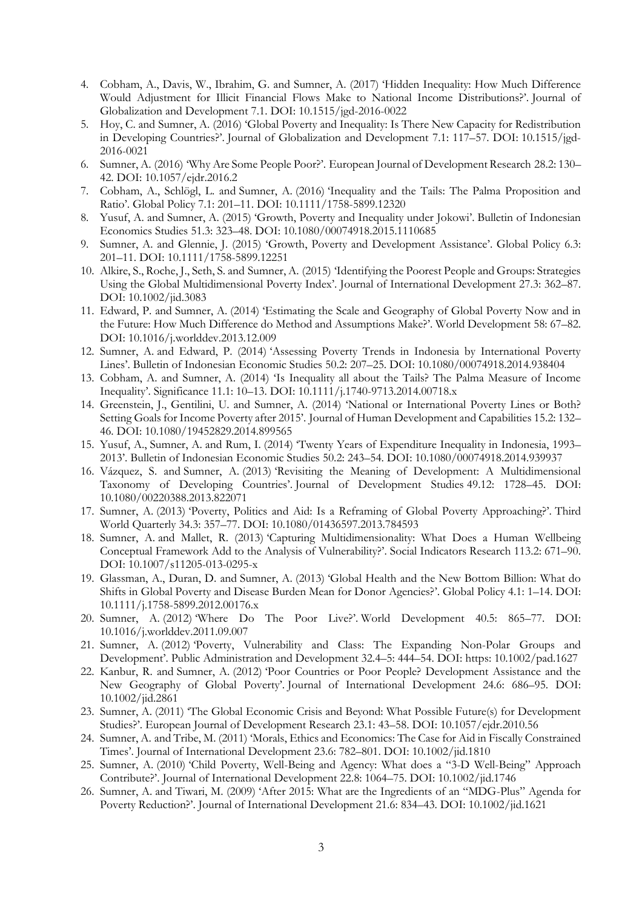- 4. Cobham, A., Davis, W., Ibrahim, G. and Sumner, A. (2017) '[Hidden Inequality: How Much Difference](https://emea01.safelinks.protection.outlook.com/?url=https%3A%2F%2Fwww.degruyter.com%2Fdg%2Fviewarticle%2Fj%24002fjgd.2016.7.issue-2%24002fjgd-2016-0022%24002fjgd-2016-0022.xml&data=01%7C01%7Candrew.sumner%40kcl.ac.uk%7Cc671dcb0e96e4a57d51a08d664449926%7C8370cf1416f34c16b83c724071654356%7C0&sdata=8ex0tv5%2Blb4HhhpTbilB1hoONiqqX51t0YWEXL8hBYY%3D&reserved=0)  [Would Adjustment for Illicit Financial Flows Make to National Income Distributions?'.](https://emea01.safelinks.protection.outlook.com/?url=https%3A%2F%2Fwww.degruyter.com%2Fdg%2Fviewarticle%2Fj%24002fjgd.2016.7.issue-2%24002fjgd-2016-0022%24002fjgd-2016-0022.xml&data=01%7C01%7Candrew.sumner%40kcl.ac.uk%7Cc671dcb0e96e4a57d51a08d664449926%7C8370cf1416f34c16b83c724071654356%7C0&sdata=8ex0tv5%2Blb4HhhpTbilB1hoONiqqX51t0YWEXL8hBYY%3D&reserved=0) Journal of Globalization and Development 7.1. DOI: [10.1515/jgd-2016-0022](https://doi.org/10.1515/jgd-2016-0022)
- 5. Hoy, C. and Sumner, A. (2016) '[Global Poverty and Inequality: Is There New Capacity for Redistribution](https://emea01.safelinks.protection.outlook.com/?url=https%3A%2F%2Fwww.degruyter.com%2Fview%2Fj%2Fjgd.2016.7.issue-1%2Fjgd-2016-0021%2Fjgd-2016-0021.xml&data=01%7C01%7Candrew.sumner%40kcl.ac.uk%7Cc671dcb0e96e4a57d51a08d664449926%7C8370cf1416f34c16b83c724071654356%7C0&sdata=ISHYBpldYUU%2BK%2FSZ2UnKaI6TmhOG4wksN6kvaRrOJ%2BM%3D&reserved=0)  [in Developing Countries?'.](https://emea01.safelinks.protection.outlook.com/?url=https%3A%2F%2Fwww.degruyter.com%2Fview%2Fj%2Fjgd.2016.7.issue-1%2Fjgd-2016-0021%2Fjgd-2016-0021.xml&data=01%7C01%7Candrew.sumner%40kcl.ac.uk%7Cc671dcb0e96e4a57d51a08d664449926%7C8370cf1416f34c16b83c724071654356%7C0&sdata=ISHYBpldYUU%2BK%2FSZ2UnKaI6TmhOG4wksN6kvaRrOJ%2BM%3D&reserved=0) Journal of Globalization and Development 7.1: 117–57. DOI: [10.1515/jgd-](https://doi.org/10.1515/jgd-2016-0021)[2016-0021](https://doi.org/10.1515/jgd-2016-0021)
- 6. Sumner, A. (2016) '[Why Are Some People Poor?](https://emea01.safelinks.protection.outlook.com/?url=http%3A%2F%2Fwww.palgrave-journals.com%2Fejdr%2Fjournal%2Fv28%2Fn2%2Ffull%2Fejdr20162a.html&data=01%7C01%7Candrew.sumner%40kcl.ac.uk%7Cc671dcb0e96e4a57d51a08d664449926%7C8370cf1416f34c16b83c724071654356%7C0&sdata=mtqU%2FPJhzZyAr46hDAfwC0t7l%2FDctPLacqCuWdJ8C%2F4%3D&reserved=0)'. European Journal of Development Research 28.2: 130– 42. DOI: 10.1057/ejdr.2016.2
- 7. Cobham, A., Schlögl, L. and Sumner, A. (2016) '[Inequality and the Tails: The Palma Proposition and](https://emea01.safelinks.protection.outlook.com/?url=http%3A%2F%2Fonlinelibrary.wiley.com%2Fdoi%2F10.1111%2F1758-5899.12320%2Fabstract&data=01%7C01%7Candrew.sumner%40kcl.ac.uk%7Cc671dcb0e96e4a57d51a08d664449926%7C8370cf1416f34c16b83c724071654356%7C0&sdata=ifpCR5diAwxdwGHqY3toPZcMKlieXqkrzeB3116XJMM%3D&reserved=0)  [Ratio](https://emea01.safelinks.protection.outlook.com/?url=http%3A%2F%2Fonlinelibrary.wiley.com%2Fdoi%2F10.1111%2F1758-5899.12320%2Fabstract&data=01%7C01%7Candrew.sumner%40kcl.ac.uk%7Cc671dcb0e96e4a57d51a08d664449926%7C8370cf1416f34c16b83c724071654356%7C0&sdata=ifpCR5diAwxdwGHqY3toPZcMKlieXqkrzeB3116XJMM%3D&reserved=0)'. Global Policy 7.1: 201–11. DOI: [10.1111/1758-5899.12320](https://doi.org/10.1111/1758-5899.12320)
- 8. Yusuf, A. and Sumner, A. (2015) '[Growth, Poverty and Inequality under Jokowi](https://emea01.safelinks.protection.outlook.com/?url=http%3A%2F%2Fwww.ingentaconnect.com%2Fcontent%2Froutledg%2Fcbie%2F2015%2F00000051%2F00000003%2Fart00001&data=01%7C01%7Candrew.sumner%40kcl.ac.uk%7Cc671dcb0e96e4a57d51a08d664449926%7C8370cf1416f34c16b83c724071654356%7C0&sdata=Lfa7euFk%2Fn%2BBVbz96bJ0IXc6FnkbXrVPGi%2FBYXlW%2FQM%3D&reserved=0)'. Bulletin of Indonesian Economics Studies 51.3: 323–48. DOI: [10.1080/00074918.2015.1110685](https://doi.org/10.1080/00074918.2015.1110685)
- 9. Sumner, A. and Glennie, J. (2015) ['Growth, Poverty and Development Assistance'](https://emea01.safelinks.protection.outlook.com/?url=http%3A%2F%2Fonlinelibrary.wiley.com%2Fdoi%2F10.1111%2F1758-5899.12251%2Fabstract&data=01%7C01%7Candrew.sumner%40kcl.ac.uk%7Cc671dcb0e96e4a57d51a08d664449926%7C8370cf1416f34c16b83c724071654356%7C0&sdata=o%2F3aQyUUlYri%2F5g36t9IE4Ucb2B7984Gb7fh%2FetLv0U%3D&reserved=0). Global Policy 6.3: 201–11. DOI: [10.1111/1758-5899.12251](https://doi.org/10.1111/1758-5899.12251)
- 10. Alkire, S., Roche, J., Seth, S. and Sumner, A. (2015) '[Identifying the Poorest People and Groups: Strategies](https://emea01.safelinks.protection.outlook.com/?url=http%3A%2F%2Fonlinelibrary.wiley.com%2Fdoi%2F10.1002%2Fjid.3083%2Fabstract&data=01%7C01%7Candrew.sumner%40kcl.ac.uk%7Cc671dcb0e96e4a57d51a08d664449926%7C8370cf1416f34c16b83c724071654356%7C0&sdata=lAKgZ5uUPWnRIv4FJhMpbUCBjcUmIKezOpq6fRTTN8o%3D&reserved=0)  [Using the Global Multidimensional Poverty Index'.](https://emea01.safelinks.protection.outlook.com/?url=http%3A%2F%2Fonlinelibrary.wiley.com%2Fdoi%2F10.1002%2Fjid.3083%2Fabstract&data=01%7C01%7Candrew.sumner%40kcl.ac.uk%7Cc671dcb0e96e4a57d51a08d664449926%7C8370cf1416f34c16b83c724071654356%7C0&sdata=lAKgZ5uUPWnRIv4FJhMpbUCBjcUmIKezOpq6fRTTN8o%3D&reserved=0) Journal of International Development 27.3: 362–87. DOI: [10.1002/jid.3083](https://doi.org/10.1002/jid.3083)
- 11. Edward, P. and Sumner, A. (2014) '[Estimating the Scale and Geography of Global Poverty Now and in](https://emea01.safelinks.protection.outlook.com/?url=http%3A%2F%2Fwww.sciencedirect.com%2Fscience%2Farticle%2Fpii%2FS0305750X13002933&data=01%7C01%7Candrew.sumner%40kcl.ac.uk%7Cc671dcb0e96e4a57d51a08d664449926%7C8370cf1416f34c16b83c724071654356%7C0&sdata=gbBu9F8zu8edCtjtLsmEDUCvAIwyo%2Brkc069SAU2WGc%3D&reserved=0)  [the Future: How Much Difference do Method and Assumptions Make?](https://emea01.safelinks.protection.outlook.com/?url=http%3A%2F%2Fwww.sciencedirect.com%2Fscience%2Farticle%2Fpii%2FS0305750X13002933&data=01%7C01%7Candrew.sumner%40kcl.ac.uk%7Cc671dcb0e96e4a57d51a08d664449926%7C8370cf1416f34c16b83c724071654356%7C0&sdata=gbBu9F8zu8edCtjtLsmEDUCvAIwyo%2Brkc069SAU2WGc%3D&reserved=0)'. World Development 58: 67–82. DOI: [10.1016/j.worlddev.2013.12.009](https://doi.org/10.1016/j.worlddev.2013.12.009)
- 12. Sumner, A. and Edward, P. (2014) '[Assessing Poverty Trends in Indonesia by International Poverty](https://emea01.safelinks.protection.outlook.com/?url=http%3A%2F%2Fwww.tandfonline.com%2Fdoi%2Fabs%2F10.1080%2F00074918.2014.938404&data=01%7C01%7Candrew.sumner%40kcl.ac.uk%7Cc671dcb0e96e4a57d51a08d664449926%7C8370cf1416f34c16b83c724071654356%7C0&sdata=pWoIULXZTgpWy9PIB9La5VJcSKSZKZ2f8cnaZ2wuaaU%3D&reserved=0)  [Lines'.](https://emea01.safelinks.protection.outlook.com/?url=http%3A%2F%2Fwww.tandfonline.com%2Fdoi%2Fabs%2F10.1080%2F00074918.2014.938404&data=01%7C01%7Candrew.sumner%40kcl.ac.uk%7Cc671dcb0e96e4a57d51a08d664449926%7C8370cf1416f34c16b83c724071654356%7C0&sdata=pWoIULXZTgpWy9PIB9La5VJcSKSZKZ2f8cnaZ2wuaaU%3D&reserved=0) Bulletin of Indonesian Economic Studies 50.2: 207–25. DOI: [10.1080/00074918.2014.938404](https://doi.org/10.1080/00074918.2014.938404)
- 13. Cobham, A. and Sumner, A. (2014) '[Is Inequality all about the Tails? The Palma Measure of Income](https://emea01.safelinks.protection.outlook.com/?url=http%3A%2F%2Fonlinelibrary.wiley.com%2Fdoi%2F10.1111%2Fj.1740-9713.2014.00718.x%2Ffull&data=01%7C01%7Candrew.sumner%40kcl.ac.uk%7Cc671dcb0e96e4a57d51a08d664449926%7C8370cf1416f34c16b83c724071654356%7C0&sdata=V9IO4xhw0zZDmwhZE2ejvoUfjEVMZMa1zr6ATilfDo0%3D&reserved=0)  [Inequality](https://emea01.safelinks.protection.outlook.com/?url=http%3A%2F%2Fonlinelibrary.wiley.com%2Fdoi%2F10.1111%2Fj.1740-9713.2014.00718.x%2Ffull&data=01%7C01%7Candrew.sumner%40kcl.ac.uk%7Cc671dcb0e96e4a57d51a08d664449926%7C8370cf1416f34c16b83c724071654356%7C0&sdata=V9IO4xhw0zZDmwhZE2ejvoUfjEVMZMa1zr6ATilfDo0%3D&reserved=0)'. Significance 11.1: 10–13. DOI: [10.1111/j.1740-9713.2014.00718.x](https://doi.org/10.1111/j.1740-9713.2014.00718.x)
- 14. Greenstein, J., Gentilini, U. and Sumner, A. (2014) '[National or International Poverty Lines or Both?](https://emea01.safelinks.protection.outlook.com/?url=http%3A%2F%2Fhdl.handle.net%2F10.1080%2F19452829.2014.899565&data=01%7C01%7Candrew.sumner%40kcl.ac.uk%7Cc671dcb0e96e4a57d51a08d664449926%7C8370cf1416f34c16b83c724071654356%7C0&sdata=E%2BXqL%2FG3ySEc82Grr7BaVqjTujcFSlpGP%2FylKePybUA%3D&reserved=0)  [Setting Goals for Income Poverty after 2015'](https://emea01.safelinks.protection.outlook.com/?url=http%3A%2F%2Fhdl.handle.net%2F10.1080%2F19452829.2014.899565&data=01%7C01%7Candrew.sumner%40kcl.ac.uk%7Cc671dcb0e96e4a57d51a08d664449926%7C8370cf1416f34c16b83c724071654356%7C0&sdata=E%2BXqL%2FG3ySEc82Grr7BaVqjTujcFSlpGP%2FylKePybUA%3D&reserved=0). Journal of Human Development and Capabilities 15.2: 132– 46. DOI: [10.1080/19452829.2014.899565](https://doi.org/10.1080/19452829.2014.899565)
- 15. Yusuf, A., Sumner, A. and Rum, I. (2014) '[Twenty Years of Expenditure Inequality in Indonesia, 1993](https://emea01.safelinks.protection.outlook.com/?url=http%3A%2F%2Fwww.tandfonline.com%2Fdoi%2Fabs%2F10.1080%2F00074918.2014.939937&data=01%7C01%7Candrew.sumner%40kcl.ac.uk%7Cc671dcb0e96e4a57d51a08d664449926%7C8370cf1416f34c16b83c724071654356%7C0&sdata=FA%2F%2F7mGnGsIY%2FBm5J0LNWCMqgO8jN5udt7KCver8L7s%3D&reserved=0) [2013'.](https://emea01.safelinks.protection.outlook.com/?url=http%3A%2F%2Fwww.tandfonline.com%2Fdoi%2Fabs%2F10.1080%2F00074918.2014.939937&data=01%7C01%7Candrew.sumner%40kcl.ac.uk%7Cc671dcb0e96e4a57d51a08d664449926%7C8370cf1416f34c16b83c724071654356%7C0&sdata=FA%2F%2F7mGnGsIY%2FBm5J0LNWCMqgO8jN5udt7KCver8L7s%3D&reserved=0) Bulletin of Indonesian Economic Studies 50.2: 243–54. DOI[: 10.1080/00074918.2014.939937](https://doi.org/10.1080/00074918.2014.939937)
- 16. Vázquez, S. and Sumner, A. (2013) '[Revisiting the Meaning of Development: A Multidimensional](https://emea01.safelinks.protection.outlook.com/?url=http%3A%2F%2Fwww.tandfonline.com%2Fdoi%2Fabs%2F10.1080%2F00220388.2013.822071&data=01%7C01%7Candrew.sumner%40kcl.ac.uk%7Cc671dcb0e96e4a57d51a08d664449926%7C8370cf1416f34c16b83c724071654356%7C0&sdata=SXFAdI%2FSCUC9E76TCtA5ZrNFEoJCOuK%2FS0EMa243k4g%3D&reserved=0)  [Taxonomy of Developing Countries'.](https://emea01.safelinks.protection.outlook.com/?url=http%3A%2F%2Fwww.tandfonline.com%2Fdoi%2Fabs%2F10.1080%2F00220388.2013.822071&data=01%7C01%7Candrew.sumner%40kcl.ac.uk%7Cc671dcb0e96e4a57d51a08d664449926%7C8370cf1416f34c16b83c724071654356%7C0&sdata=SXFAdI%2FSCUC9E76TCtA5ZrNFEoJCOuK%2FS0EMa243k4g%3D&reserved=0) Journal of Development Studies 49.12: 1728–45. DOI: [10.1080/00220388.2013.822071](https://doi.org/10.1080/00220388.2013.822071)
- 17. Sumner, A. (2013) ['Poverty, Politics and Aid: Is a Reframing of Global Poverty Approaching?'.](https://emea01.safelinks.protection.outlook.com/?url=http%3A%2F%2Fwww.tandfonline.com%2Fdoi%2Fabs%2F10.1080%2F01436597.2013.784593&data=01%7C01%7Candrew.sumner%40kcl.ac.uk%7Cc671dcb0e96e4a57d51a08d664449926%7C8370cf1416f34c16b83c724071654356%7C0&sdata=cooHjpoBYqH8yXLF4293uJ9nfwT%2BaChoiS9%2FSPwbYFs%3D&reserved=0) Third World Quarterly 34.3: 357–77. DOI: [10.1080/01436597.2013.784593](https://doi.org/10.1080/01436597.2013.784593)
- 18. Sumner, A. and Mallet, R. (2013) '[Capturing Multidimensionality: What Does a Human Wellbeing](https://emea01.safelinks.protection.outlook.com/?url=http%3A%2F%2Flink.springer.com%2Farticle%2F10.1007%2Fs11205-013-0295-x&data=01%7C01%7Candrew.sumner%40kcl.ac.uk%7Cc671dcb0e96e4a57d51a08d664449926%7C8370cf1416f34c16b83c724071654356%7C0&sdata=m0gmgQ0%2FTgcOfUEOhXArvdswYjg9fGiFzyb6IBqvu2E%3D&reserved=0)  [Conceptual Framework Add to the Analysis of Vulnerability?'.](https://emea01.safelinks.protection.outlook.com/?url=http%3A%2F%2Flink.springer.com%2Farticle%2F10.1007%2Fs11205-013-0295-x&data=01%7C01%7Candrew.sumner%40kcl.ac.uk%7Cc671dcb0e96e4a57d51a08d664449926%7C8370cf1416f34c16b83c724071654356%7C0&sdata=m0gmgQ0%2FTgcOfUEOhXArvdswYjg9fGiFzyb6IBqvu2E%3D&reserved=0) Social Indicators Research 113.2: 671–90. DOI: 10.1007/s11205-013-0295-x
- 19. Glassman, A., Duran, D. and Sumner, A. (2013) '[Global Health and the New Bottom Billion: What do](https://emea01.safelinks.protection.outlook.com/?url=http%3A%2F%2Fonlinelibrary.wiley.com%2Fdoi%2F10.1111%2Fj.1758-5899.2012.00176.x%2Fabstract&data=01%7C01%7Candrew.sumner%40kcl.ac.uk%7Cc671dcb0e96e4a57d51a08d664449926%7C8370cf1416f34c16b83c724071654356%7C0&sdata=jnUVTnNLT6XjqrjfFIMRE0rhv5mgAQ0Bn3TTfUWvFXc%3D&reserved=0)  [Shifts in Global Poverty and Disease Burden Mean for Donor Agencies?](https://emea01.safelinks.protection.outlook.com/?url=http%3A%2F%2Fonlinelibrary.wiley.com%2Fdoi%2F10.1111%2Fj.1758-5899.2012.00176.x%2Fabstract&data=01%7C01%7Candrew.sumner%40kcl.ac.uk%7Cc671dcb0e96e4a57d51a08d664449926%7C8370cf1416f34c16b83c724071654356%7C0&sdata=jnUVTnNLT6XjqrjfFIMRE0rhv5mgAQ0Bn3TTfUWvFXc%3D&reserved=0)'. Global Policy 4.1: 1–14. DOI: [10.1111/j.1758-5899.2012.00176.x](https://doi.org/10.1111/j.1758-5899.2012.00176.x)
- 20. Sumner, A. (2012) '[Where Do The Poor Live?](https://emea01.safelinks.protection.outlook.com/?url=http%3A%2F%2Fwww.sciencedirect.com%2Fscience%2Farticle%2Fpii%2FS0305750X11002294&data=01%7C01%7Candrew.sumner%40kcl.ac.uk%7Cc671dcb0e96e4a57d51a08d664449926%7C8370cf1416f34c16b83c724071654356%7C0&sdata=xX3oHVVNFT9%2BuCJh51isKMMqaSJXedsUJxtfObPo7ds%3D&reserved=0)'. World Development 40.5: 865–77. DOI: [10.1016/j.worlddev.2011.09.007](https://doi.org/10.1016/j.worlddev.2011.09.007)
- 21. Sumner, A. (2012) '[Poverty, Vulnerability and Class: The Expanding Non-Polar Groups and](https://emea01.safelinks.protection.outlook.com/?url=http%3A%2F%2Fonlinelibrary.wiley.com%2Fdoi%2F10.1002%2Fpad.1627%2Fabstract&data=01%7C01%7Candrew.sumner%40kcl.ac.uk%7Cc671dcb0e96e4a57d51a08d664449926%7C8370cf1416f34c16b83c724071654356%7C0&sdata=AZW93DuhF17w10qJKX3ZPW7e%2FnUFJLo2Ph7UPJxX0F0%3D&reserved=0)  [Development'.](https://emea01.safelinks.protection.outlook.com/?url=http%3A%2F%2Fonlinelibrary.wiley.com%2Fdoi%2F10.1002%2Fpad.1627%2Fabstract&data=01%7C01%7Candrew.sumner%40kcl.ac.uk%7Cc671dcb0e96e4a57d51a08d664449926%7C8370cf1416f34c16b83c724071654356%7C0&sdata=AZW93DuhF17w10qJKX3ZPW7e%2FnUFJLo2Ph7UPJxX0F0%3D&reserved=0) Public Administration and Development 32.4–5: 444–54. DOI: [https: 10.1002/pad.1627](https://doi.org/10.1002/pad.1627)
- 22. Kanbur, R. and Sumner, A. (2012) '[Poor Countries or Poor People? Development Assistance and the](https://emea01.safelinks.protection.outlook.com/?url=http%3A%2F%2Fonlinelibrary.wiley.com%2Fdoi%2F10.1002%2Fjid.2861%2Fabstract&data=01%7C01%7Candrew.sumner%40kcl.ac.uk%7Cc671dcb0e96e4a57d51a08d664449926%7C8370cf1416f34c16b83c724071654356%7C0&sdata=8HbTizWHGfzsXXCLmOutLfdCcsDUjNogEyF7ReZ63dI%3D&reserved=0)  [New Geography of Global Poverty'.](https://emea01.safelinks.protection.outlook.com/?url=http%3A%2F%2Fonlinelibrary.wiley.com%2Fdoi%2F10.1002%2Fjid.2861%2Fabstract&data=01%7C01%7Candrew.sumner%40kcl.ac.uk%7Cc671dcb0e96e4a57d51a08d664449926%7C8370cf1416f34c16b83c724071654356%7C0&sdata=8HbTizWHGfzsXXCLmOutLfdCcsDUjNogEyF7ReZ63dI%3D&reserved=0) Journal of International Development 24.6: 686–95. DOI: [10.1002/jid.2861](https://doi.org/10.1002/jid.2861)
- 23. Sumner, A. (2011) '[The Global Economic Crisis and Beyond: What Possible Future\(s\) for Development](https://emea01.safelinks.protection.outlook.com/?url=http%3A%2F%2Fwww.palgrave-journals.com%2Fejdr%2Fjournal%2Fv23%2Fn1%2Ffull%2Fejdr201056a.html&data=01%7C01%7Candrew.sumner%40kcl.ac.uk%7Cc671dcb0e96e4a57d51a08d664449926%7C8370cf1416f34c16b83c724071654356%7C0&sdata=%2FSlYLOHS2qhrkrP5ZH5UppSFvDLQ8nTFmLIXsk9syrw%3D&reserved=0)  [Studies?](https://emea01.safelinks.protection.outlook.com/?url=http%3A%2F%2Fwww.palgrave-journals.com%2Fejdr%2Fjournal%2Fv23%2Fn1%2Ffull%2Fejdr201056a.html&data=01%7C01%7Candrew.sumner%40kcl.ac.uk%7Cc671dcb0e96e4a57d51a08d664449926%7C8370cf1416f34c16b83c724071654356%7C0&sdata=%2FSlYLOHS2qhrkrP5ZH5UppSFvDLQ8nTFmLIXsk9syrw%3D&reserved=0)'. European Journal of Development Research 23.1: 43–58. DOI: 10.1057/ejdr.2010.56
- 24. Sumner, A. and Tribe, M. (2011) ['Morals, Ethics and Economics: The C](https://onlinelibrary.wiley.com/doi/abs/10.1002/jid.1810)ase for Aid in Fiscally Constrained [Times'.](https://onlinelibrary.wiley.com/doi/abs/10.1002/jid.1810) Journal of International Development 23.6: 782–801. DOI: [10.1002/jid.1810](https://doi.org/10.1002/jid.1810)
- 25. Sumner, A. (2010) 'Child Poverty, Well-[Being and Agency: What does a "3](https://emea01.safelinks.protection.outlook.com/?url=http%3A%2F%2Fonlinelibrary.wiley.com%2Fdoi%2F10.1002%2Fjid.1746%2Fabstract&data=01%7C01%7Candrew.sumner%40kcl.ac.uk%7Cc671dcb0e96e4a57d51a08d664449926%7C8370cf1416f34c16b83c724071654356%7C0&sdata=tz26uJ2uYsSdF6CcRTDzrAL0jg6h5Q%2FtxLTLiEELM1c%3D&reserved=0)-D Well-Being" Approach [Contribute?'.](https://emea01.safelinks.protection.outlook.com/?url=http%3A%2F%2Fonlinelibrary.wiley.com%2Fdoi%2F10.1002%2Fjid.1746%2Fabstract&data=01%7C01%7Candrew.sumner%40kcl.ac.uk%7Cc671dcb0e96e4a57d51a08d664449926%7C8370cf1416f34c16b83c724071654356%7C0&sdata=tz26uJ2uYsSdF6CcRTDzrAL0jg6h5Q%2FtxLTLiEELM1c%3D&reserved=0) Journal of International Development 22.8: 1064–75. DOI: [10.1002/jid.1746](https://doi.org/10.1002/jid.1746)
- 26. Sumner, A. and Tiwari, M. (2009) ['After 2015: What are the Ingredients of an "MDG](https://emea01.safelinks.protection.outlook.com/?url=http%3A%2F%2Fonlinelibrary.wiley.com%2Fdoi%2F10.1002%2Fjid.1621%2Fabstract&data=01%7C01%7Candrew.sumner%40kcl.ac.uk%7Cc671dcb0e96e4a57d51a08d664449926%7C8370cf1416f34c16b83c724071654356%7C0&sdata=7zr7yC1DcDPwnqtxw75apoQ7hOvM025779Xle67MLa0%3D&reserved=0)-Plus" Agenda for [Poverty Reduction?'](https://emea01.safelinks.protection.outlook.com/?url=http%3A%2F%2Fonlinelibrary.wiley.com%2Fdoi%2F10.1002%2Fjid.1621%2Fabstract&data=01%7C01%7Candrew.sumner%40kcl.ac.uk%7Cc671dcb0e96e4a57d51a08d664449926%7C8370cf1416f34c16b83c724071654356%7C0&sdata=7zr7yC1DcDPwnqtxw75apoQ7hOvM025779Xle67MLa0%3D&reserved=0). Journal of International Development 21.6: 834–43. DOI: [10.1002/jid.1621](https://doi.org/10.1002/jid.1621)